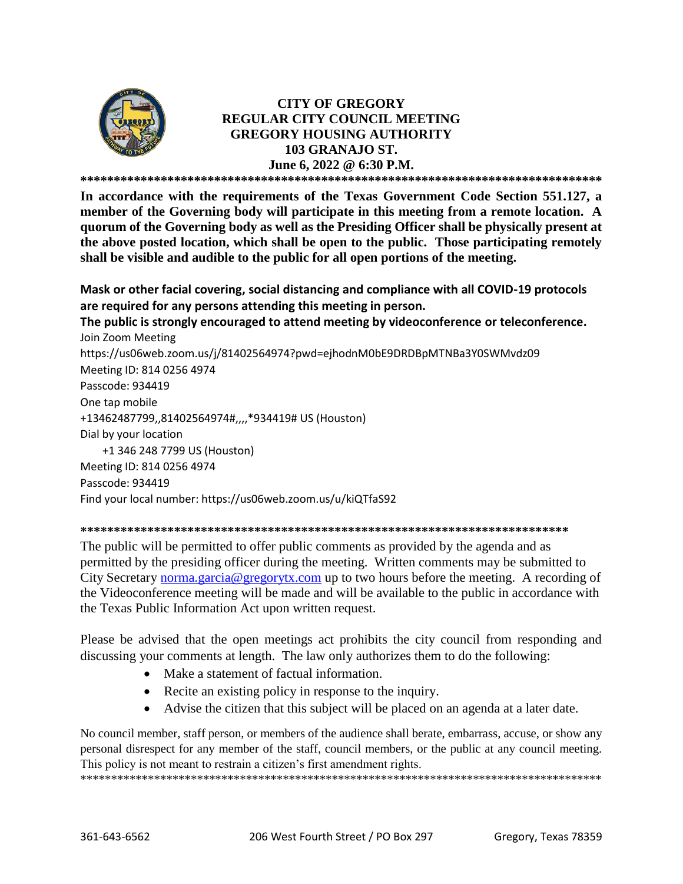

# **CITY OF GREGORY REGULAR CITY COUNCIL MEETING GREGORY HOUSING AUTHORITY 103 GRANAJO ST. June 6, 2022 @ 6:30 P.M.**

**\*\*\*\*\*\*\*\*\*\*\*\*\*\*\*\*\*\*\*\*\*\*\*\*\*\*\*\*\*\*\*\*\*\*\*\*\*\*\*\*\*\*\*\*\*\*\*\*\*\*\*\*\*\*\*\*\*\*\*\*\*\*\*\*\*\*\*\*\*\*\*\*\*\*\*\*\*\***

**In accordance with the requirements of the Texas Government Code Section 551.127, a member of the Governing body will participate in this meeting from a remote location. A quorum of the Governing body as well as the Presiding Officer shall be physically present at the above posted location, which shall be open to the public. Those participating remotely shall be visible and audible to the public for all open portions of the meeting.**

**Mask or other facial covering, social distancing and compliance with all COVID-19 protocols are required for any persons attending this meeting in person.** 

**The public is strongly encouraged to attend meeting by videoconference or teleconference.** Join Zoom Meeting https://us06web.zoom.us/j/81402564974?pwd=ejhodnM0bE9DRDBpMTNBa3Y0SWMvdz09 Meeting ID: 814 0256 4974 Passcode: 934419 One tap mobile +13462487799,,81402564974#,,,,\*934419# US (Houston) Dial by your location +1 346 248 7799 US (Houston) Meeting ID: 814 0256 4974 Passcode: 934419 Find your local number: https://us06web.zoom.us/u/kiQTfaS92

#### **\*\*\*\*\*\*\*\*\*\*\*\*\*\*\*\*\*\*\*\*\*\*\*\*\*\*\*\*\*\*\*\*\*\*\*\*\*\*\*\*\*\*\*\*\*\*\*\*\*\*\*\*\*\*\*\*\*\*\*\*\*\*\*\*\*\*\*\*\*\*\*\*\***

The public will be permitted to offer public comments as provided by the agenda and as permitted by the presiding officer during the meeting. Written comments may be submitted to City Secretary [norma.garcia@gregorytx.com](mailto:norma.garcia@gregorytx.com) up to two hours before the meeting. A recording of the Videoconference meeting will be made and will be available to the public in accordance with the Texas Public Information Act upon written request.

Please be advised that the open meetings act prohibits the city council from responding and discussing your comments at length. The law only authorizes them to do the following:

- Make a statement of factual information.
- Recite an existing policy in response to the inquiry.
- Advise the citizen that this subject will be placed on an agenda at a later date.

No council member, staff person, or members of the audience shall berate, embarrass, accuse, or show any personal disrespect for any member of the staff, council members, or the public at any council meeting. This policy is not meant to restrain a citizen's first amendment rights.

\*\*\*\*\*\*\*\*\*\*\*\*\*\*\*\*\*\*\*\*\*\*\*\*\*\*\*\*\*\*\*\*\*\*\*\*\*\*\*\*\*\*\*\*\*\*\*\*\*\*\*\*\*\*\*\*\*\*\*\*\*\*\*\*\*\*\*\*\*\*\*\*\*\*\*\*\*\*\*\*\*\*\*\*\*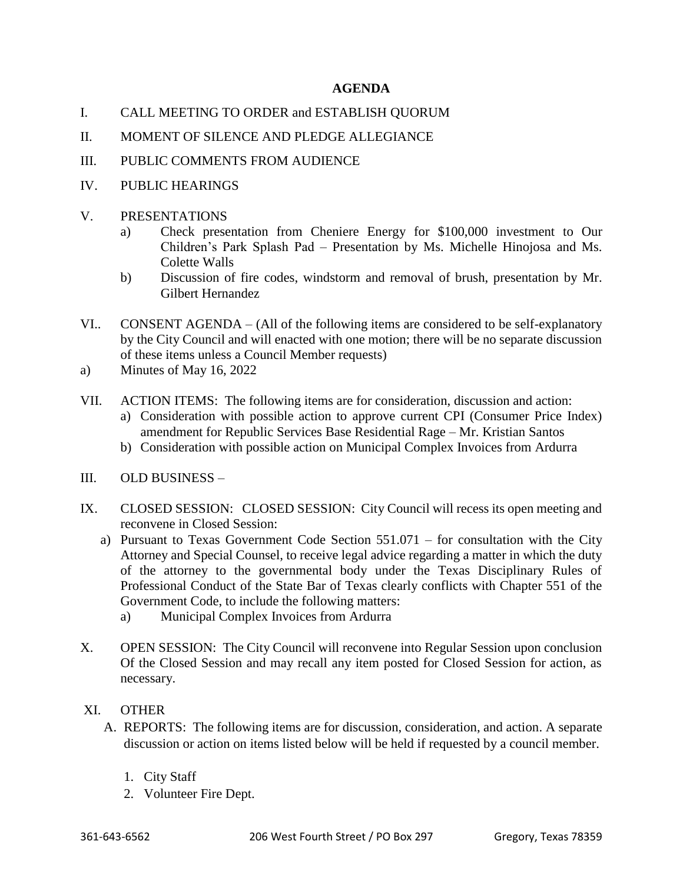# **AGENDA**

- I. CALL MEETING TO ORDER and ESTABLISH QUORUM
- II. MOMENT OF SILENCE AND PLEDGE ALLEGIANCE
- III. PUBLIC COMMENTS FROM AUDIENCE
- IV. PUBLIC HEARINGS
- V. PRESENTATIONS
	- a) Check presentation from Cheniere Energy for \$100,000 investment to Our Children's Park Splash Pad – Presentation by Ms. Michelle Hinojosa and Ms. Colette Walls
	- b) Discussion of fire codes, windstorm and removal of brush, presentation by Mr. Gilbert Hernandez
- VI.. CONSENT AGENDA (All of the following items are considered to be self-explanatory by the City Council and will enacted with one motion; there will be no separate discussion of these items unless a Council Member requests)
- a) Minutes of May 16, 2022
- VII. ACTION ITEMS: The following items are for consideration, discussion and action:
	- a) Consideration with possible action to approve current CPI (Consumer Price Index) amendment for Republic Services Base Residential Rage – Mr. Kristian Santos
	- b) Consideration with possible action on Municipal Complex Invoices from Ardurra
- III. OLD BUSINESS –
- IX. CLOSED SESSION: CLOSED SESSION: City Council will recess its open meeting and reconvene in Closed Session:
	- a) Pursuant to Texas Government Code Section 551.071 for consultation with the City Attorney and Special Counsel, to receive legal advice regarding a matter in which the duty of the attorney to the governmental body under the Texas Disciplinary Rules of Professional Conduct of the State Bar of Texas clearly conflicts with Chapter 551 of the Government Code, to include the following matters:
		- a) Municipal Complex Invoices from Ardurra
- X. OPEN SESSION: The City Council will reconvene into Regular Session upon conclusion Of the Closed Session and may recall any item posted for Closed Session for action, as necessary.

# XI. OTHER

- A. REPORTS: The following items are for discussion, consideration, and action. A separate discussion or action on items listed below will be held if requested by a council member.
	- 1. City Staff
	- 2. Volunteer Fire Dept.